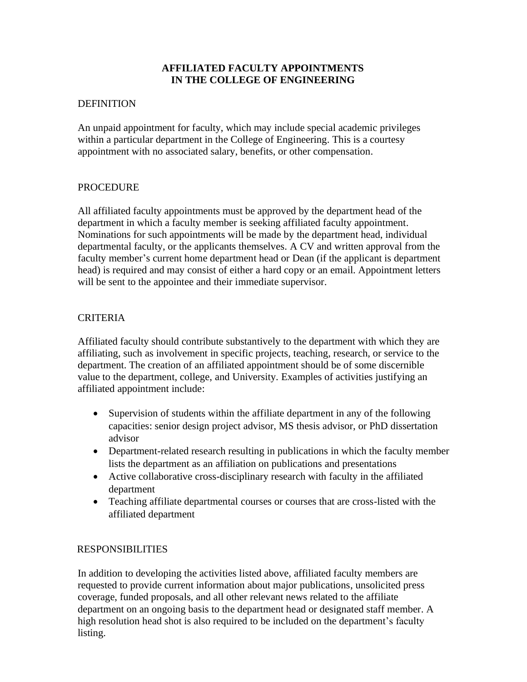# **AFFILIATED FACULTY APPOINTMENTS IN THE COLLEGE OF ENGINEERING**

### DEFINITION

An unpaid appointment for faculty, which may include special academic privileges within a particular department in the College of Engineering. This is a courtesy appointment with no associated salary, benefits, or other compensation.

### **PROCEDURE**

All affiliated faculty appointments must be approved by the department head of the department in which a faculty member is seeking affiliated faculty appointment. Nominations for such appointments will be made by the department head, individual departmental faculty, or the applicants themselves. A CV and written approval from the faculty member's current home department head or Dean (if the applicant is department head) is required and may consist of either a hard copy or an email. Appointment letters will be sent to the appointee and their immediate supervisor.

### CRITERIA

Affiliated faculty should contribute substantively to the department with which they are affiliating, such as involvement in specific projects, teaching, research, or service to the department. The creation of an affiliated appointment should be of some discernible value to the department, college, and University. Examples of activities justifying an affiliated appointment include:

- Supervision of students within the affiliate department in any of the following capacities: senior design project advisor, MS thesis advisor, or PhD dissertation advisor
- Department-related research resulting in publications in which the faculty member lists the department as an affiliation on publications and presentations
- Active collaborative cross-disciplinary research with faculty in the affiliated department
- Teaching affiliate departmental courses or courses that are cross-listed with the affiliated department

# RESPONSIBILITIES

In addition to developing the activities listed above, affiliated faculty members are requested to provide current information about major publications, unsolicited press coverage, funded proposals, and all other relevant news related to the affiliate department on an ongoing basis to the department head or designated staff member. A high resolution head shot is also required to be included on the department's faculty listing.